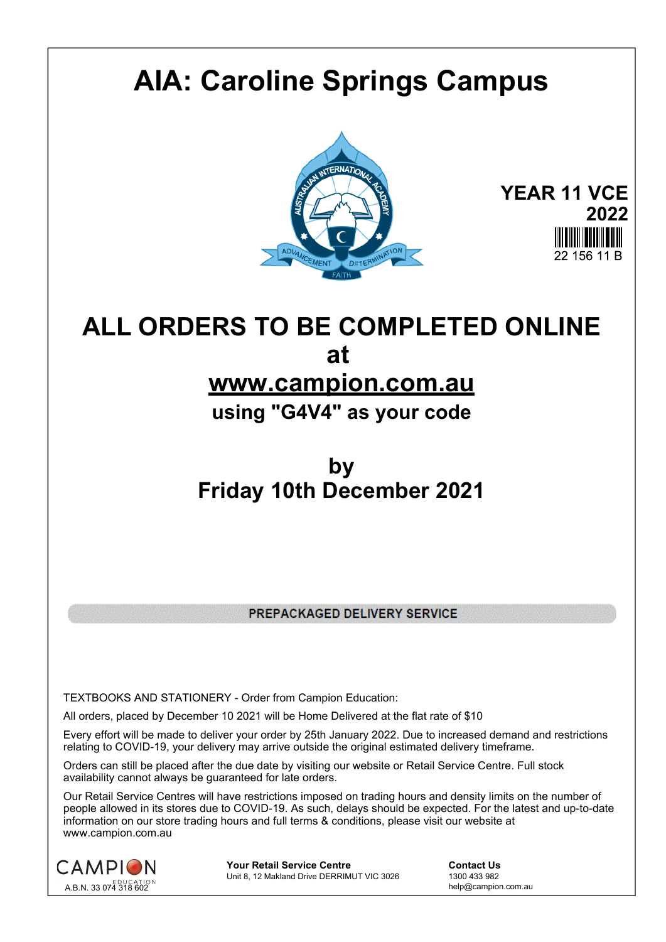## **AIA: Caroline Springs Campus**



**YEAR 11 VCE 2022** 22 156 11 B

## **ALL ORDERS TO BE COMPLETED ONLINE at**

## **www.campion.com.au**

**using "G4V4" as your code**

## **by Friday 10th December 2021**

PREPACKAGED DELIVERY SERVICE

TEXTBOOKS AND STATIONERY - Order from Campion Education:

All orders, placed by December 10 2021 will be Home Delivered at the flat rate of \$10

Every effort will be made to deliver your order by 25th January 2022. Due to increased demand and restrictions relating to COVID-19, your delivery may arrive outside the original estimated delivery timeframe.

Orders can still be placed after the due date by visiting our website or Retail Service Centre. Full stock availability cannot always be guaranteed for late orders.

Our Retail Service Centres will have restrictions imposed on trading hours and density limits on the number of people allowed in its stores due to COVID-19. As such, delays should be expected. For the latest and up-to-date information on our store trading hours and full terms & conditions, please visit our website at www.campion.com.au



**Your Retail Service Centre Contact Us**<br>
Unit 8, 12 Makland Drive DERRIMUT VIC 3026
1300 433 982 Unit 8, 12 Makland Drive DERRIMUT VIC 3026

help@campion.com.au